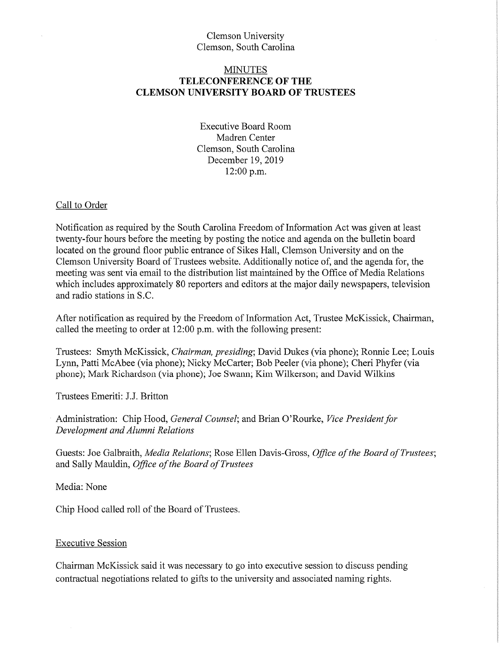## Clemson University Clemson, South Carolina

## MINUTES **TELECONFERENCE OF THE CLEMSON UNIVERSITY BOARD OF TRUSTEES**

Executive Board Room Madren Center Clemson, South Carolina December 19, 2019 12:00 p.m.

#### Call to Order

Notification as required by the South Carolina Freedom of Information Act was given at least twenty-four hours before the meeting by posting the notice and agenda on the bulletin board located on the ground floor public entrance of Sikes Hall, Clemson University and on the Clemson University Board of Trustees website. Additionally notice of, and the agenda for, the meeting was sent via email to the distribution list maintained by the Office of Media Relations which includes approximately 80 reporters and editors at the major daily newspapers, television and radio stations in S.C.

After notification as required by the Freedom of Information Act, Trustee McKissick, Chairman, called the meeting to order at 12:00 p.m. with the following present:

Trustees: Smyth McKissick, *Chairman, presiding;* David Dukes (via phone); Ronnie Lee; Louis Lynn, Patti McAbee (via phone); Nicky McCarter; Bob Peeler (via phone); Cheri Phyfer (via phone); Mark Richardson (via phone); Joe Swann; Kim Wilkerson; and David Wilkins

Trustees Emeriti: J.J. Britton

Administration: Chip Hood, *General Counsel;* and Brian O'Rourke, *Vice President for Development and Alumni Relations* 

Guests: Joe Galbraith, *Media Relations*; Rose Ellen Davis-Gross, *Office of the Board of Trustees*; and Sally Mauldin, *Office ofthe Board ofTrustees* 

Media: None

Chip Hood called roll of the Board of Trustees.

#### Executive Session

Chairman McKissick said it was necessary to go into executive session to discuss pending contractual negotiations related to gifts to the university and associated naming rights.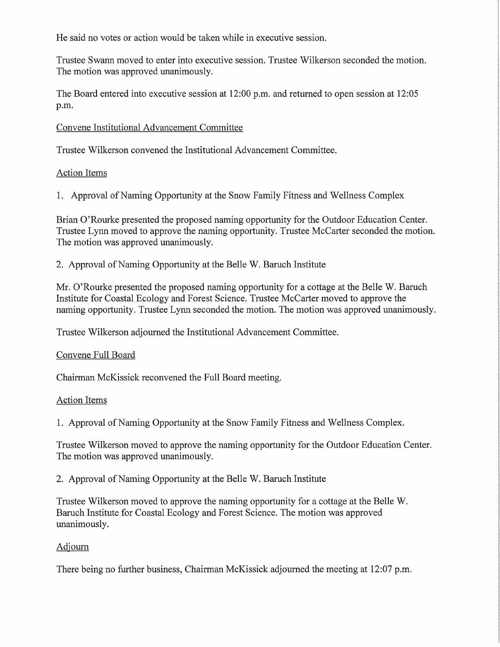He said no votes or action would be taken while in executive session.

Trustee Swann moved to enter into executive session. Trustee Wilkerson seconded the motion. The motion was approved unanimously.

The Board entered into executive session at 12:00 p.m. and returned to open session at 12:05 p.m.

## Convene Institutional Advancement Committee

Trustee Wilkerson convened the Institutional Advancement Committee.

## Action Items

1. Approval of Naming Opportunity at the Snow Family Fitness and Wellness Complex

Brian O'Rourke presented the proposed naming opportunity for the Outdoor Education Center. Trustee Lynn moved to approve the naming opportunity. Trustee McCarter seconded the motion. The motion was approved unanimously.

2. Approval of Naming Opportunity at the Belle W. Baruch Institute

Mr. O'Rourke presented the proposed naming opportunity for a cottage at the Belle W. Baruch Institute for Coastal Ecology and Forest Science. Trustee Mccarter moved to approve the naming opportunity. Trustee Lynn seconded the motion. The motion was approved unanimously.

Trustee Wilkerson adjourned the Institutional Advancement Committee.

#### Convene Full Board

Chairman McKissick reconvened the Full Board meeting.

#### Action Items

1. Approval of Naming Opportunity at the Snow Family Fitness and Wellness Complex.

Trustee Wilkerson moved to approve the naming opportunity for the Outdoor Education Center. The motion was approved unanimously.

2. Approval of Naming Opportunity at the Belle W. Baruch Institute

Trustee Wilkerson moved to approve the naming opportunity for a cottage at the Belle W. Baruch Institute for Coastal Ecology and Forest Science. The motion was approved unanimously.

# Adjourn

There being no further business, Chairman McKissick adjourned the meeting at 12:07 p.m.